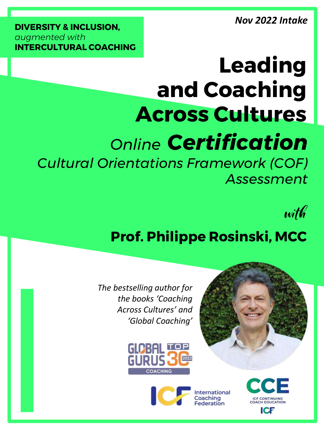*Nov 2022 Intake*

**DIVERSITY & INCLUSION,**  *augmented with*  **INTERCULTURAL COACHING**

# **Leading and Coaching Across Cultures**

# *Online Certification*

*Cultural Orientations Framework (COF) Assessment*

with

## **Prof. Philippe Rosinski, MCC**

*The bestselling author for the books 'Coaching Across Cultures' and 'Global Coaching'*





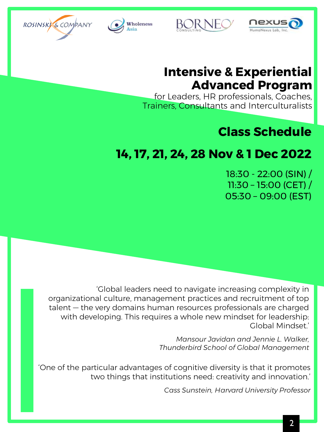





### **Intensive & Experiential Advanced Program**

for Leaders, HR professionals, Coaches, Trainers, Consultants and Interculturalists

### **Class Schedule**

## **14, 17, 21, 24, 28 Nov & 1 Dec 2022**

BOR NE

18:30 - 22:00 (SIN) / 11:30 – 15:00 (CET) / 05:30 – 09:00 (EST)

'Global leaders need to navigate increasing complexity in organizational culture, management practices and recruitment of top talent — the very domains human resources professionals are charged with developing. This requires a whole new mindset for leadership: Global Mindset.'

> *Mansour Javidan and Jennie L. Walker, Thunderbird School of Global Management*

'One of the particular advantages of cognitive diversity is that it promotes two things that institutions need: creativity and innovation.'

*Cass Sunstein, Harvard University Professor*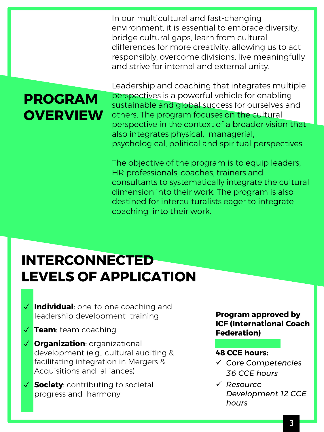In our multicultural and fast-changing environment, it is essential to embrace diversity, bridge cultural gaps, learn from cultural differences for more creativity, allowing us to act responsibly, overcome divisions, live meaningfully and strive for internal and external unity.

## **PROGRAM OVERVIEW**

Leadership and coaching that integrates multiple perspectives is a powerful vehicle for enabling sustainable and global success for ourselves and others. The program focuses on the cultural perspective in the context of a broader vision that also integrates physical, managerial, psychological, political and spiritual perspectives.

The objective of the program is to equip leaders, HR professionals, coaches, trainers and consultants to systematically integrate the cultural dimension into their work. The program is also destined for interculturalists eager to integrate coaching into their work.

## **INTERCONNECTED LEVELS OF APPLICATION**

- ✓ **Individual**: one-to-one coaching and leadership development training
- ✓ **Team**: team coaching
- ✓ **Organization**: organizational development (e.g., cultural auditing & facilitating integration in Mergers & Acquisitions and alliances)
- ✓ **Society**: contributing to societal progress and harmony

**Program approved by ICF (International Coach Federation)** 

#### **48 CCE hours:**

- ✓ *Core Competencies 36 CCE hours*
- ✓ *Resource Development 12 CCE hours*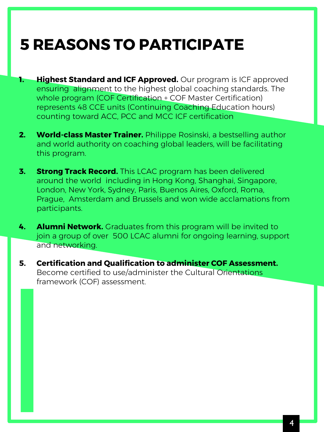## **5 REASONS TO PARTICIPATE**

- **1. Highest Standard and ICF Approved.** Our program is ICF approved ensuring alignment to the highest global coaching standards. The whole program (COF Certification + COF Master Certification) represents 48 CCE units (Continuing Coaching Education hours) counting toward ACC, PCC and MCC ICF certification
- **2. World-class Master Trainer.** Philippe Rosinski, a bestselling author and world authority on coaching global leaders, will be facilitating this program.
- **3. Strong Track Record.** This LCAC program has been delivered around the world including in Hong Kong, Shanghai, Singapore, London, New York, Sydney, Paris, Buenos Aires, Oxford, Roma, Prague, Amsterdam and Brussels and won wide acclamations from participants.
- **4. Alumni Network.** Graduates from this program will be invited to join a group of over 500 LCAC alumni for ongoing learning, support and networking.
- **5. Certification and Qualification to administer COF Assessment.** Become certified to use/administer the Cultural Orientations framework (COF) assessment.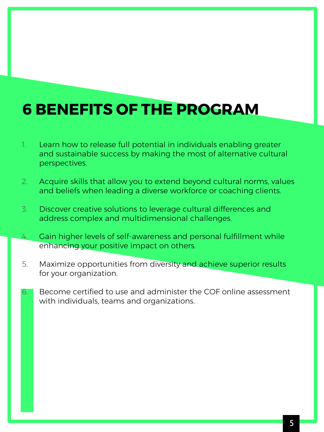## **6 BENEFITS OF THE PROGRAM**

- 1. Learn how to release full potential in individuals enabling greater and sustainable success by making the most of alternative cultural perspectives.
- 2. Acquire skills that allow you to extend beyond cultural norms, values and beliefs when leading a diverse workforce or coaching clients.
- 3. Discover creative solutions to leverage cultural differences and address complex and multidimensional challenges.
- 4. Gain higher levels of self-awareness and personal fulfillment while enhancing your positive impact on others.
- 5. Maximize opportunities from diversity and achieve superior results for your organization.
- 6. Become certified to use and administer the COF online assessment with individuals, teams and organizations.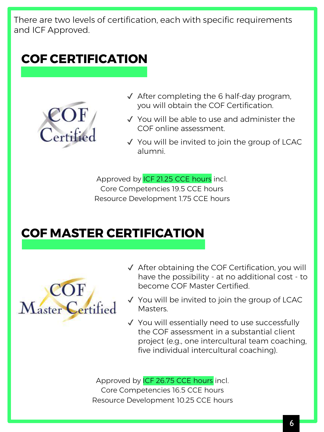There are two levels of certification, each with specific requirements and ICF Approved.

## **COF CERTIFICATION**



- $\sqrt{\phantom{a}}$  After completing the 6 half-day program, you will obtain the COF Certification.
- ✔ You will be able to use and administer the COF online assessment.
- ✔ You will be invited to join the group of LCAC alumni.

Approved by ICF 21.25 CCE hours incl. Core Competencies 19.5 CCE hours Resource Development 1.75 CCE hours

## **COF MASTER CERTIFICATION**



- ✔ After obtaining the COF Certification, you will have the possibility - at no additional cost - to become COF Master Certified.
- ✔ You will be invited to join the group of LCAC Masters.
- ✔ You will essentially need to use successfully the COF assessment in a substantial client project (e.g., one intercultural team coaching, five individual intercultural coaching).

Approved by ICF 26.75 CCE hours incl. Core Competencies 16.5 CCE hours Resource Development 10.25 CCE hours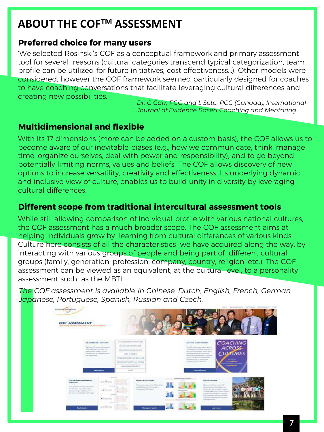## **ABOUT THE COFTM ASSESSMENT**

#### **Preferred choice for many users**

'We selected Rosinski's COF as a conceptual framework and primary assessment tool for several reasons (cultural categories transcend typical categorization, team profile can be utilized for future initiatives, cost effectiveness...). Other models were considered, however the COF framework seemed particularly designed for coaches to have coaching conversations that facilitate leveraging cultural differences and creating new possibilities.'

*Dr. C Carr, PCC and L Seto, PCC (Canada), International Journal of Evidence Based Coaching and Mentoring*

#### **Multidimensional and flexible**

With its 17 dimensions (more can be added on a custom basis), the COF allows us to become aware of our inevitable biases (e.g., how we communicate, think, manage time, organize ourselves, deal with power and responsibility), and to go beyond potentially limiting norms, values and beliefs. The COF allows discovery of new options to increase versatility, creativity and effectiveness. Its underlying dynamic and inclusive view of culture, enables us to build unity in diversity by leveraging cultural differences.

#### **Different scope from traditional intercultural assessment tools**

While still allowing comparison of individual profile with various national cultures, the COF assessment has a much broader scope. The COF assessment aims at helping individuals grow by learning from cultural differences of various kinds. Culture here consists of all the characteristics we have acquired along the way, by interacting with various groups of people and being part of different cultural groups (family, generation, profession, company, country, religion, etc.). The COF assessment can be viewed as an equivalent, at the cultural level, to a personality assessment such as the MBTI.

*The COF assessment is available in Chinese, Dutch, English, French, German, Japanese, Portuguese, Spanish, Russian and Czech.* 

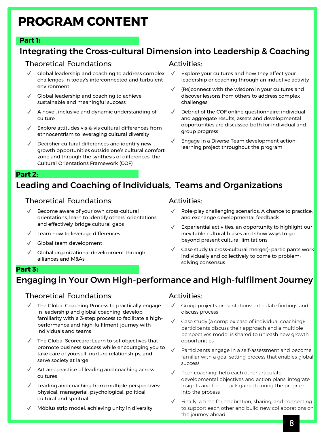## **PROGRAM CONTENT**

#### **Part 1:**

#### Integrating the Cross-cultural Dimension into Leadership & Coaching

#### Theoretical Foundations:

- ✔ Global leadership and coaching to address complex challenges in today's interconnected and turbulent environment
- ✔ Global leadership and coaching to achieve sustainable and meaningful success
- ✔ A novel, inclusive and dynamic understanding of culture
- ✔ Explore attitudes vis-à-vis cultural differences from ethnocentrism to leveraging cultural diversity
- $\sqrt{ }$  Decipher cultural differences and identify new growth opportunities outside one's cultural comfort zone and through the synthesis of differences, the Cultural Orientations Framework (COF)

#### Activities:

- $\sqrt{ }$  Explore your cultures and how they affect your leadership or coaching through an inductive activity
- (Re)connect with the wisdom in your cultures and discover lessons from others to address complex challenges
- ✔ Debrief of the COF online questionnaire: individual and aggregate results, assets and developmental opportunities are discussed both for individual and group progress
- $\sqrt{ }$  Engage in a Diverse Team development actionlearning project throughout the program

#### **Part 2:**

#### Leading and Coaching of Individuals, Teams and Organizations

#### Theoretical Foundations:

- ✔ Become aware of your own cross-cultural orientations, learn to identify others' orientations and effectively bridge cultural gaps
- Learn how to leverage differences
- ✔ Global team development
- Global organizational development through alliances and M&As

#### Activities:

- $\sqrt{ }$  Role-play challenging scenarios. A chance to practice, and exchange developmental feedback
- $\sqrt{ }$  Experiential activities: an opportunity to highlight our inevitable cultural biases and show ways to go beyond present cultural limitations
- ✔ Case study (a cross-cultural merger): participants work individually and collectively to come to problemsolving consensus

#### **Part 3:**

#### Engaging in Your Own High-performance and High-fulfilment Journey

#### Theoretical Foundations:

- The Global Coaching Process to practically engage in leadership and global coaching: develop familiarity with a 3-step process to facilitate a highperformance and high-fulfilment journey with individuals and teams
- The Global Scorecard: Learn to set objectives that promote business success while encouraging you to take care of yourself, nurture relationships, and serve society at large
- $\sqrt{ }$  Art and practice of leading and coaching across cultures
- $\sqrt{\phantom{a}}$  Leading and coaching from multiple perspectives: physical, managerial, psychological, political, cultural and spiritual
- Möbius strip model: achieving unity in diversity

#### Activities:

- Group projects presentations: articulate findings and discuss process
- Case study (a complex case of individual coaching): participants discuss their approach and a multiple perspectives model is shared to unleash new growth opportunities
- Participants engage in a self-assessment and become familiar with a goal setting process that enables global success
- ✔ Peer-coaching: help each other articulate developmental objectives and action plans. integrate insights and feed- back gained during the program into the process
- Finally, a time for celebration, sharing, and connecting to support each other and build new collaborations on the journey ahead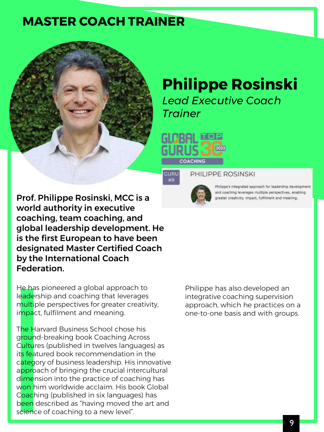## **MASTER COACH TRAINER**



## **Philippe Rosinski**

*Lead Executive Coach Trainer*





#### PHILIPPE ROSINSKI



Philippe's integrated approach for leadership development and coaching leverages multiple perspectives, enabling greater creativity, impact, fulfilment and meaning.

Prof. Philippe Rosinski, MCC is a world authority in executive coaching, team coaching, and global leadership development. He is the first European to have been designated Master Certified Coach by the International Coach Federation.

He has pioneered a global approach to leadership and coaching that leverages multiple perspectives for greater creativity, impact, fulfilment and meaning.

The Harvard Business School chose his ground-breaking book Coaching Across Cultures (published in twelves languages) as its featured book recommendation in the category of business leadership. His innovative approach of bringing the crucial intercultural dimension into the practice of coaching has won him worldwide acclaim. His book Global Coaching (published in six languages) has been described as "having moved the art and science of coaching to a new level".

Philippe has also developed an integrative coaching supervision approach, which he practices on a one-to-one basis and with groups.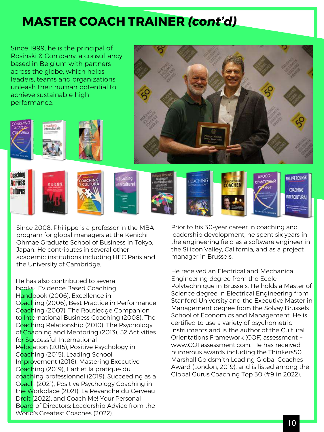## **MASTER COACH TRAINER** *(cont'd)*

Since 1999, he is the principal of Rosinski & Company, a consultancy based in Belgium with partners across the globe, which helps leaders, teams and organizations unleash their human potential to achieve sustainable high performance. Coaching PHILIPPE ROSINSK **OACHING Across MACHE COACHING Cultures** INTERCULTURAL

Since 2008, Philippe is a professor in the MBA program for global managers at the Kenichi Ohmae Graduate School of Business in Tokyo, Japan. He contributes in several other academic institutions including HEC Paris and the University of Cambridge.

He has also contributed to several books: Evidence Based Coaching Handbook (2006), Excellence in Coaching (2006), Best Practice in Performance Coaching (2007), The Routledge Companion to International Business Coaching (2008), The Coaching Relationship (2010), The Psychology of Coaching and Mentoring (2013), 52 Activities for Successful International Relocation (2015), Positive Psychology in Coaching (2015), Leading School Improvement (2016), Mastering Executive Coaching (2019), L'art et la pratique du coaching professionnel (2019), Succeeding as a Coach (2021), Positive Psychology Coaching in the Workplace (2021), La Revanche du Cerveau Droit (2022), and Coach Me! Your Personal Board of Directors: Leadership Advice from the World's Greatest Coaches (2022).

Prior to his 30-year career in coaching and leadership development, he spent six years in the engineering field as a software engineer in the Silicon Valley, California, and as a project manager in Brussels.

He received an Electrical and Mechanical Engineering degree from the Ecole Polytechnique in Brussels. He holds a Master of Science degree in Electrical Engineering from Stanford University and the Executive Master in Management degree from the Solvay Brussels School of Economics and Management. He is certified to use a variety of psychometric instruments and is the author of the Cultural Orientations Framework (COF) assessment – www.COFassessment.com. He has received numerous awards including the Thinkers50 Marshall Goldsmith Leading Global Coaches Award (London, 2019), and is listed among the Global Gurus Coaching Top 30 (#9 in 2022).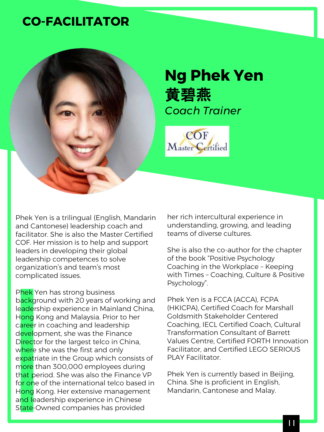### **CO-FACILITATOR**



## **Ng Phek Yen** 黄碧燕 *Coach Trainer*



Phek Yen is a trilingual (English, Mandarin and Cantonese) leadership coach and facilitator. She is also the Master Certified COF. Her mission is to help and support leaders in developing their global leadership competences to solve organization's and team's most complicated issues.

Phek Yen has strong business background with 20 years of working and leadership experience in Mainland China, Hong Kong and Malaysia. Prior to her career in coaching and leadership development, she was the Finance Director for the largest telco in China, where she was the first and only expatriate in the Group which consists of more than 300,000 employees during that period. She was also the Finance VP for one of the international telco based in Hong Kong. Her extensive management and leadership experience in Chinese State-Owned companies has provided

her rich intercultural experience in understanding, growing, and leading teams of diverse cultures.

She is also the co-author for the chapter of the book "Positive Psychology Coaching in the Workplace – Keeping with Times – Coaching, Culture & Positive Psychology".

Phek Yen is a FCCA (ACCA), FCPA (HKICPA), Certified Coach for Marshall Goldsmith Stakeholder Centered Coaching, IECL Certified Coach, Cultural Transformation Consultant of Barrett Values Centre, Certified FORTH Innovation Facilitator, and Certified LEGO SERIOUS PLAY Facilitator.

Phek Yen is currently based in Beijing, China. She is proficient in English, Mandarin, Cantonese and Malay.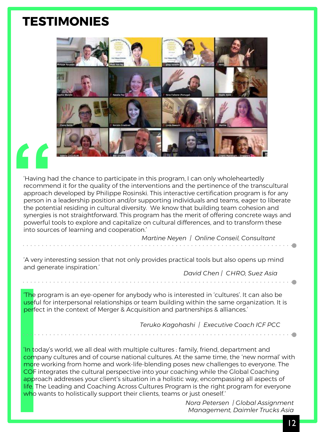### **TESTIMONIES**



Having has recomme<br>
approach<br>
person in<br>
the poten<br>
synergies 'Having had the chance to participate in this program, I can only wholeheartedly recommend it for the quality of the interventions and the pertinence of the transcultural approach developed by Philippe Rosinski. This interactive certification program is for any person in a leadership position and/or supporting individuals and teams, eager to liberate the potential residing in cultural diversity. We know that building team cohesion and synergies is not straightforward. This program has the merit of offering concrete ways and powerful tools to explore and capitalize on cultural differences, and to transform these into sources of learning and cooperation.'

*Martine Neyen | Online Conseil, Consultant* 

'A very interesting session that not only provides practical tools but also opens up mind and generate inspiration.'

*David Chen | CHRO, Suez Asia*

'The program is an eye-opener for anybody who is interested in 'cultures'. It can also be useful for interpersonal relationships or team building within the same organization. It is perfect in the context of Merger & Acquisition and partnerships & alliances.'

*Teruko Kagohashi | Executive Coach ICF PCC*

'In today's world, we all deal with multiple cultures : family, friend, department and company cultures and of course national cultures. At the same time, the 'new normal' with more working from home and work-life-blending poses new challenges to everyone. The COF integrates the cultural perspective into your coaching while the Global Coaching approach addresses your client's situation in a holistic way, encompassing all aspects of life. The Leading and Coaching Across Cultures Program is the right program for everyone who wants to holistically support their clients, teams or just oneself.

> *Nora Petersen | Global Assignment Management, Daimler Trucks Asia*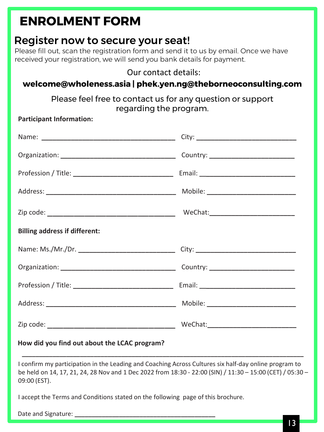## **ENROLMENT FORM**

#### Register now to secure your seat!

Please fill out, scan the registration form and send it to us by email. Once we have received your registration, we will send you bank details for payment.

#### Our contact details:

#### **welcome@wholeness.asia | phek.yen.ng@theborneoconsulting.com**

Please feel free to contact us for any question or support regarding the program.

**Participant Information:**

| <b>Billing address if different:</b>         |  |
|----------------------------------------------|--|
|                                              |  |
|                                              |  |
|                                              |  |
|                                              |  |
|                                              |  |
| How did you find out about the LCAC program? |  |

I confirm my participation in the Leading and Coaching Across Cultures six half-day online program to be held on 14, 17, 21, 24, 28 Nov and 1 Dec 2022 from 18:30 - 22:00 (SIN) / 11:30 – 15:00 (CET) / 05:30 – 09:00 (EST).

I accept the Terms and Conditions stated on the following page of this brochure.

Date and Signature: